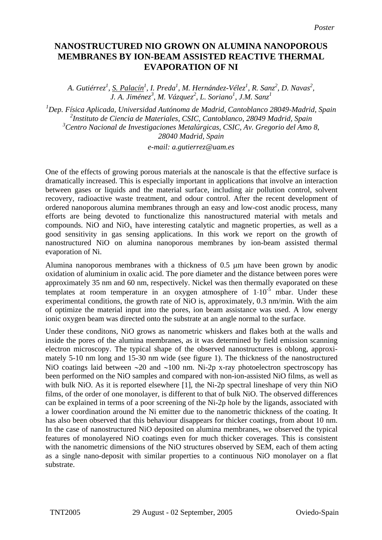## **NANOSTRUCTURED NIO GROWN ON ALUMINA NANOPOROUS MEMBRANES BY ION-BEAM ASSISTED REACTIVE THERMAL EVAPORATION OF NI**

*A. Gutiérrez<sup>1</sup> , S. Palacín<sup>1</sup> , I. Preda<sup>1</sup> , M. Hernández-Vélez<sup>1</sup> , R. Sanz<sup>2</sup> , D. Navas<sup>2</sup> , J. A. Jiménez<sup>3</sup> , M. Vázquez<sup>2</sup> , L. Soriano<sup>1</sup> , J.M. Sanz<sup>1</sup>*

*1 Dep. Física Aplicada, Universidad Autónoma de Madrid, Cantoblanco 28049-Madrid, Spain 2 Instituto de Ciencia de Materiales, CSIC, Cantoblanco, 28049 Madrid, Spain 3 Centro Nacional de Investigaciones Metalúrgicas, CSIC, Av. Gregorio del Amo 8, 28040 Madrid, Spain e-mail: a.gutierrez@uam.es* 

One of the effects of growing porous materials at the nanoscale is that the effective surface is dramatically increased. This is especially important in applications that involve an interaction between gases or liquids and the material surface, including air pollution control, solvent recovery, radioactive waste treatment, and odour control. After the recent development of ordered nanoporous alumina membranes through an easy and low-cost anodic process, many efforts are being devoted to functionalize this nanostructured material with metals and compounds. NiO and  $NiO<sub>x</sub>$  have interesting catalytic and magnetic properties, as well as a good sensitivity in gas sensing applications. In this work we report on the growth of nanostructured NiO on alumina nanoporous membranes by ion-beam assisted thermal evaporation of Ni.

Alumina nanoporous membranes with a thickness of 0.5 µm have been grown by anodic oxidation of aluminium in oxalic acid. The pore diameter and the distance between pores were approximately 35 nm and 60 nm, respectively. Nickel was then thermally evaporated on these templates at room temperature in an oxygen atmosphere of  $1 \cdot 10^{-5}$  mbar. Under these experimental conditions, the growth rate of NiO is, approximately, 0.3 nm/min. With the aim of optimize the material input into the pores, ion beam assistance was used. A low energy ionic oxygen beam was directed onto the substrate at an angle normal to the surface.

Under these conditons, NiO grows as nanometric whiskers and flakes both at the walls and inside the pores of the alumina membranes, as it was determined by field emission scanning electron microscopy. The typical shape of the observed nanostructures is oblong, approximately 5-10 nm long and 15-30 nm wide (see figure 1). The thickness of the nanostructured NiO coatings laid between ∼20 and ∼100 nm. Ni-2p x-ray photoelectron spectroscopy has been performed on the NiO samples and compared with non-ion-assisted NiO films, as well as with bulk NiO. As it is reported elsewhere [1], the Ni-2p spectral lineshape of very thin NiO films, of the order of one monolayer, is different to that of bulk NiO. The observed differences can be explained in terms of a poor screening of the Ni-2p hole by the ligands, associated with a lower coordination around the Ni emitter due to the nanometric thickness of the coating. It has also been observed that this behaviour disappears for thicker coatings, from about 10 nm. In the case of nanostructured NiO deposited on alumina membranes, we observed the typical features of monolayered NiO coatings even for much thicker coverages. This is consistent with the nanometric dimensions of the NiO structures observed by SEM, each of them acting as a single nano-deposit with similar properties to a continuous NiO monolayer on a flat substrate.